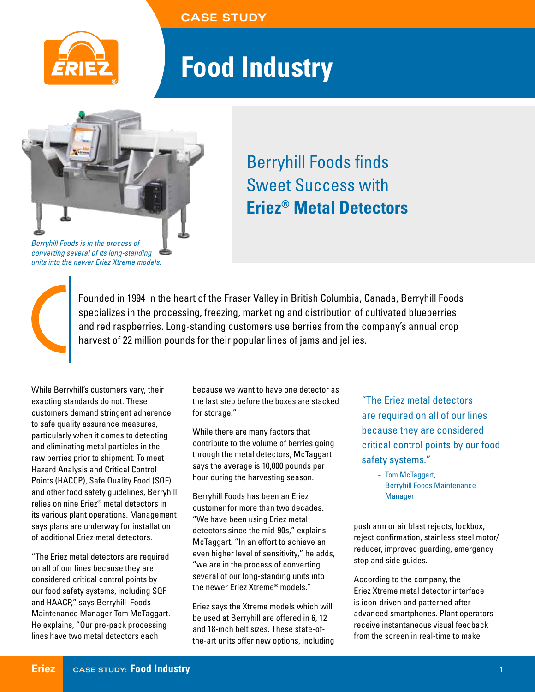**CASE STUDY**



## **Food Industry**



*converting several of its long-standing units into the newer Eriez Xtreme models.*

## Berryhill Foods finds Sweet Success with **Eriez® Metal Detectors**

Founded in 1994 in the heart of the Fraser Valley in British Columbia, Canada, Berryhill Foods specializes in the processing, freezing, marketing and distribution of cultivated blueberries and red raspberries. Long-standing customers use berries from the company's annual crop harvest of 22 million pounds for their popular lines of jams and jellies.

While Berryhill's customers vary, their exacting standards do not. These customers demand stringent adherence to safe quality assurance measures, particularly when it comes to detecting and eliminating metal particles in the raw berries prior to shipment. To meet Hazard Analysis and Critical Control Points (HACCP), Safe Quality Food (SQF) and other food safety guidelines, Berryhill relies on nine Eriez® metal detectors in its various plant operations. Management says plans are underway for installation of additional Eriez metal detectors.

"The Eriez metal detectors are required on all of our lines because they are considered critical control points by our food safety systems, including SQF and HAACP," says Berryhill Foods Maintenance Manager Tom McTaggart. He explains, "Our pre-pack processing lines have two metal detectors each

because we want to have one detector as the last step before the boxes are stacked for storage."

While there are many factors that contribute to the volume of berries going through the metal detectors, McTaggart says the average is 10,000 pounds per hour during the harvesting season.

Berryhill Foods has been an Eriez customer for more than two decades. "We have been using Eriez metal detectors since the mid-90s," explains McTaggart. "In an effort to achieve an even higher level of sensitivity," he adds, "we are in the process of converting several of our long-standing units into the newer Eriez Xtreme® models."

Eriez says the Xtreme models which will be used at Berryhill are offered in 6, 12 and 18-inch belt sizes. These state-ofthe-art units offer new options, including "The Eriez metal detectors are required on all of our lines because they are considered critical control points by our food safety systems."

~ Tom McTaggart, Berryhill Foods Maintenance Manager

push arm or air blast rejects, lockbox, reject confirmation, stainless steel motor/ reducer, improved guarding, emergency stop and side guides.

According to the company, the Eriez Xtreme metal detector interface is icon-driven and patterned after advanced smartphones. Plant operators receive instantaneous visual feedback from the screen in real-time to make